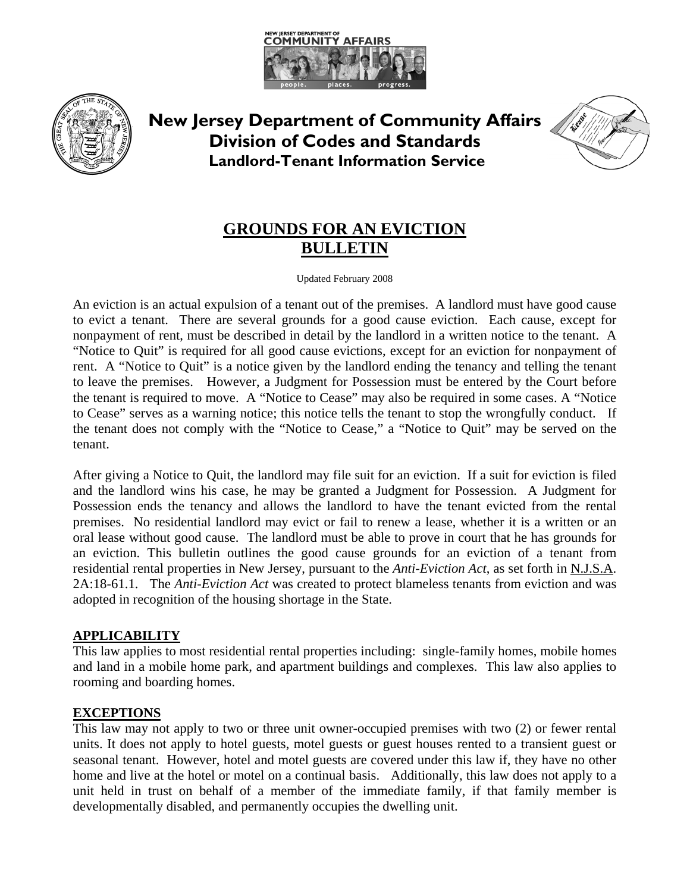



**New Jersey Department of Community Affairs Division of Codes and Standards Landlord-Tenant Information Service**



# **GROUNDS FOR AN EVICTION BULLETIN**

Updated February 2008

An eviction is an actual expulsion of a tenant out of the premises. A landlord must have good cause to evict a tenant. There are several grounds for a good cause eviction. Each cause, except for nonpayment of rent, must be described in detail by the landlord in a written notice to the tenant. A "Notice to Quit" is required for all good cause evictions, except for an eviction for nonpayment of rent. A "Notice to Quit" is a notice given by the landlord ending the tenancy and telling the tenant to leave the premises. However, a Judgment for Possession must be entered by the Court before the tenant is required to move. A "Notice to Cease" may also be required in some cases. A "Notice to Cease" serves as a warning notice; this notice tells the tenant to stop the wrongfully conduct. If the tenant does not comply with the "Notice to Cease," a "Notice to Quit" may be served on the tenant.

After giving a Notice to Quit, the landlord may file suit for an eviction. If a suit for eviction is filed and the landlord wins his case, he may be granted a Judgment for Possession. A Judgment for Possession ends the tenancy and allows the landlord to have the tenant evicted from the rental premises. No residential landlord may evict or fail to renew a lease, whether it is a written or an oral lease without good cause. The landlord must be able to prove in court that he has grounds for an eviction. This bulletin outlines the good cause grounds for an eviction of a tenant from residential rental properties in New Jersey, pursuant to the *Anti-Eviction Act*, as set forth in N.J.S.A. 2A:18-61.1. The *Anti-Eviction Act* was created to protect blameless tenants from eviction and was adopted in recognition of the housing shortage in the State.

# **APPLICABILITY**

This law applies to most residential rental properties including: single-family homes, mobile homes and land in a mobile home park, and apartment buildings and complexes. This law also applies to rooming and boarding homes.

#### **EXCEPTIONS**

This law may not apply to two or three unit owner-occupied premises with two (2) or fewer rental units. It does not apply to hotel guests, motel guests or guest houses rented to a transient guest or seasonal tenant. However, hotel and motel guests are covered under this law if, they have no other home and live at the hotel or motel on a continual basis. Additionally, this law does not apply to a unit held in trust on behalf of a member of the immediate family, if that family member is developmentally disabled, and permanently occupies the dwelling unit.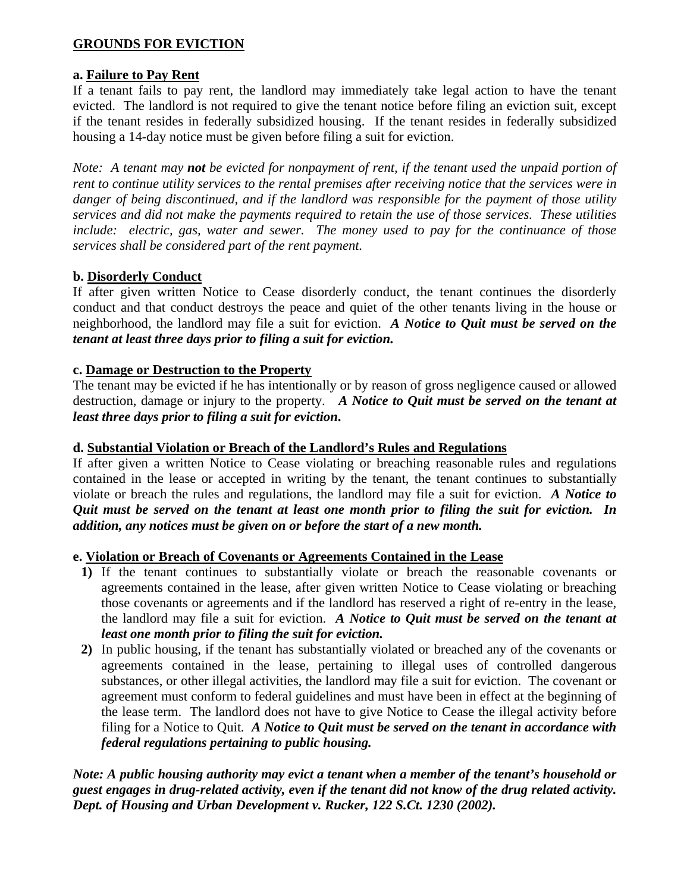# **GROUNDS FOR EVICTION**

# **a. Failure to Pay Rent**

If a tenant fails to pay rent, the landlord may immediately take legal action to have the tenant evicted. The landlord is not required to give the tenant notice before filing an eviction suit, except if the tenant resides in federally subsidized housing. If the tenant resides in federally subsidized housing a 14-day notice must be given before filing a suit for eviction.

*Note: A tenant may not be evicted for nonpayment of rent, if the tenant used the unpaid portion of rent to continue utility services to the rental premises after receiving notice that the services were in danger of being discontinued, and if the landlord was responsible for the payment of those utility services and did not make the payments required to retain the use of those services. These utilities include: electric, gas, water and sewer. The money used to pay for the continuance of those services shall be considered part of the rent payment.* 

# **b. Disorderly Conduct**

If after given written Notice to Cease disorderly conduct, the tenant continues the disorderly conduct and that conduct destroys the peace and quiet of the other tenants living in the house or neighborhood, the landlord may file a suit for eviction. *A Notice to Quit must be served on the tenant at least three days prior to filing a suit for eviction.*

#### **c. Damage or Destruction to the Property**

The tenant may be evicted if he has intentionally or by reason of gross negligence caused or allowed destruction, damage or injury to the property. *A Notice to Quit must be served on the tenant at least three days prior to filing a suit for eviction***.**

#### **d. Substantial Violation or Breach of the Landlord's Rules and Regulations**

If after given a written Notice to Cease violating or breaching reasonable rules and regulations contained in the lease or accepted in writing by the tenant, the tenant continues to substantially violate or breach the rules and regulations, the landlord may file a suit for eviction. *A Notice to Quit must be served on the tenant at least one month prior to filing the suit for eviction. In addition, any notices must be given on or before the start of a new month.* 

#### **e. Violation or Breach of Covenants or Agreements Contained in the Lease**

- **1)** If the tenant continues to substantially violate or breach the reasonable covenants or agreements contained in the lease, after given written Notice to Cease violating or breaching those covenants or agreements and if the landlord has reserved a right of re-entry in the lease, the landlord may file a suit for eviction. *A Notice to Quit must be served on the tenant at least one month prior to filing the suit for eviction.*
- **2)** In public housing, if the tenant has substantially violated or breached any of the covenants or agreements contained in the lease, pertaining to illegal uses of controlled dangerous substances, or other illegal activities, the landlord may file a suit for eviction. The covenant or agreement must conform to federal guidelines and must have been in effect at the beginning of the lease term. The landlord does not have to give Notice to Cease the illegal activity before filing for a Notice to Quit*. A Notice to Quit must be served on the tenant in accordance with federal regulations pertaining to public housing.*

*Note: A public housing authority may evict a tenant when a member of the tenant's household or guest engages in drug-related activity, even if the tenant did not know of the drug related activity. Dept. of Housing and Urban Development v. Rucker, 122 S.Ct. 1230 (2002).*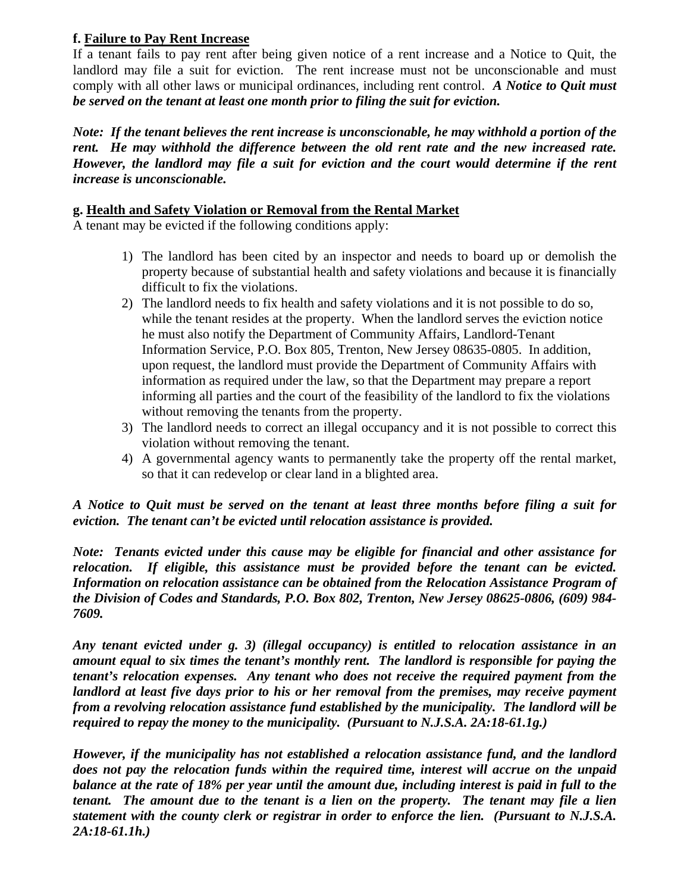# **f. Failure to Pay Rent Increase**

If a tenant fails to pay rent after being given notice of a rent increase and a Notice to Quit, the landlord may file a suit for eviction. The rent increase must not be unconscionable and must comply with all other laws or municipal ordinances, including rent control. *A Notice to Quit must be served on the tenant at least one month prior to filing the suit for eviction.*

*Note: If the tenant believes the rent increase is unconscionable, he may withhold a portion of the rent. He may withhold the difference between the old rent rate and the new increased rate. However, the landlord may file a suit for eviction and the court would determine if the rent increase is unconscionable.* 

# **g. Health and Safety Violation or Removal from the Rental Market**

A tenant may be evicted if the following conditions apply:

- 1) The landlord has been cited by an inspector and needs to board up or demolish the property because of substantial health and safety violations and because it is financially difficult to fix the violations.
- 2) The landlord needs to fix health and safety violations and it is not possible to do so, while the tenant resides at the property. When the landlord serves the eviction notice he must also notify the Department of Community Affairs, Landlord-Tenant Information Service, P.O. Box 805, Trenton, New Jersey 08635-0805. In addition, upon request, the landlord must provide the Department of Community Affairs with information as required under the law, so that the Department may prepare a report informing all parties and the court of the feasibility of the landlord to fix the violations without removing the tenants from the property.
- 3) The landlord needs to correct an illegal occupancy and it is not possible to correct this violation without removing the tenant.
- 4) A governmental agency wants to permanently take the property off the rental market, so that it can redevelop or clear land in a blighted area.

*A Notice to Quit must be served on the tenant at least three months before filing a suit for eviction. The tenant can't be evicted until relocation assistance is provided.* 

*Note: Tenants evicted under this cause may be eligible for financial and other assistance for relocation. If eligible, this assistance must be provided before the tenant can be evicted. Information on relocation assistance can be obtained from the Relocation Assistance Program of the Division of Codes and Standards, P.O. Box 802, Trenton, New Jersey 08625-0806, (609) 984- 7609.* 

*Any tenant evicted under g. 3) (illegal occupancy) is entitled to relocation assistance in an amount equal to six times the tenant's monthly rent. The landlord is responsible for paying the tenant's relocation expenses. Any tenant who does not receive the required payment from the landlord at least five days prior to his or her removal from the premises, may receive payment from a revolving relocation assistance fund established by the municipality. The landlord will be required to repay the money to the municipality. (Pursuant to N.J.S.A. 2A:18-61.1g.)* 

*However, if the municipality has not established a relocation assistance fund, and the landlord does not pay the relocation funds within the required time, interest will accrue on the unpaid balance at the rate of 18% per year until the amount due, including interest is paid in full to the tenant. The amount due to the tenant is a lien on the property. The tenant may file a lien statement with the county clerk or registrar in order to enforce the lien. (Pursuant to N.J.S.A. 2A:18-61.1h.)*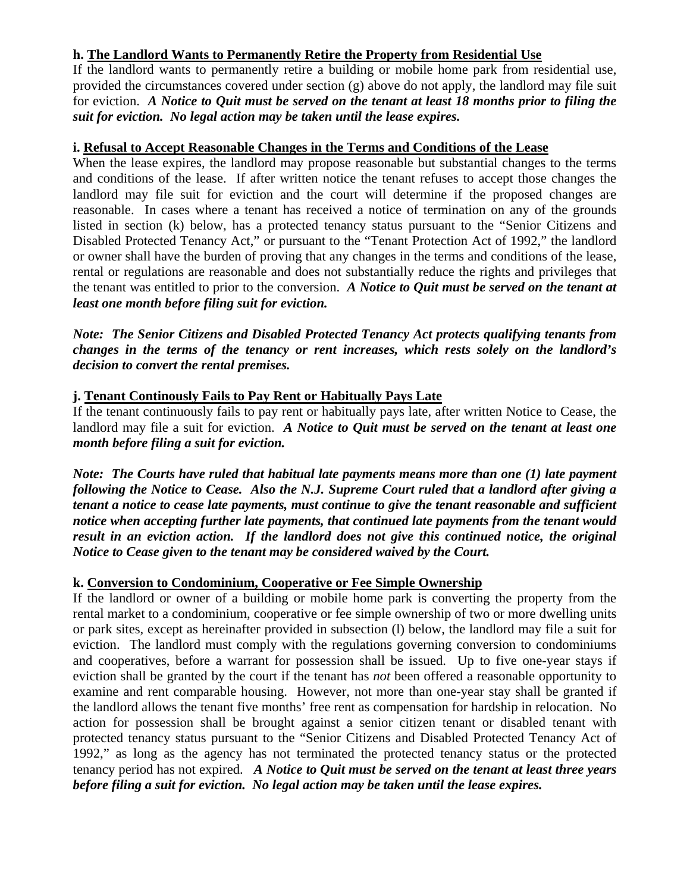# **h. The Landlord Wants to Permanently Retire the Property from Residential Use**

If the landlord wants to permanently retire a building or mobile home park from residential use, provided the circumstances covered under section (g) above do not apply, the landlord may file suit for eviction. *A Notice to Quit must be served on the tenant at least 18 months prior to filing the suit for eviction.**No legal action may be taken until the lease expires.* 

# **i. Refusal to Accept Reasonable Changes in the Terms and Conditions of the Lease**

When the lease expires, the landlord may propose reasonable but substantial changes to the terms and conditions of the lease. If after written notice the tenant refuses to accept those changes the landlord may file suit for eviction and the court will determine if the proposed changes are reasonable. In cases where a tenant has received a notice of termination on any of the grounds listed in section (k) below, has a protected tenancy status pursuant to the "Senior Citizens and Disabled Protected Tenancy Act," or pursuant to the "Tenant Protection Act of 1992," the landlord or owner shall have the burden of proving that any changes in the terms and conditions of the lease, rental or regulations are reasonable and does not substantially reduce the rights and privileges that the tenant was entitled to prior to the conversion. *A Notice to Quit must be served on the tenant at least one month before filing suit for eviction.* 

*Note: The Senior Citizens and Disabled Protected Tenancy Act protects qualifying tenants from changes in the terms of the tenancy or rent increases, which rests solely on the landlord's decision to convert the rental premises.* 

# **j. Tenant Continously Fails to Pay Rent or Habitually Pays Late**

If the tenant continuously fails to pay rent or habitually pays late, after written Notice to Cease, the landlord may file a suit for eviction. *A Notice to Quit must be served on the tenant at least one month before filing a suit for eviction.*

*Note: The Courts have ruled that habitual late payments means more than one (1) late payment following the Notice to Cease. Also the N.J. Supreme Court ruled that a landlord after giving a tenant a notice to cease late payments, must continue to give the tenant reasonable and sufficient notice when accepting further late payments, that continued late payments from the tenant would result in an eviction action. If the landlord does not give this continued notice, the original Notice to Cease given to the tenant may be considered waived by the Court.* 

# **k. Conversion to Condominium, Cooperative or Fee Simple Ownership**

If the landlord or owner of a building or mobile home park is converting the property from the rental market to a condominium, cooperative or fee simple ownership of two or more dwelling units or park sites, except as hereinafter provided in subsection (l) below, the landlord may file a suit for eviction. The landlord must comply with the regulations governing conversion to condominiums and cooperatives, before a warrant for possession shall be issued.Up to five one-year stays if eviction shall be granted by the court if the tenant has *not* been offered a reasonable opportunity to examine and rent comparable housing. However, not more than one-year stay shall be granted if the landlord allows the tenant five months' free rent as compensation for hardship in relocation. No action for possession shall be brought against a senior citizen tenant or disabled tenant with protected tenancy status pursuant to the "Senior Citizens and Disabled Protected Tenancy Act of 1992," as long as the agency has not terminated the protected tenancy status or the protected tenancy period has not expired.*A Notice to Quit must be served on the tenant at least three years before filing a suit for eviction. No legal action may be taken until the lease expires.*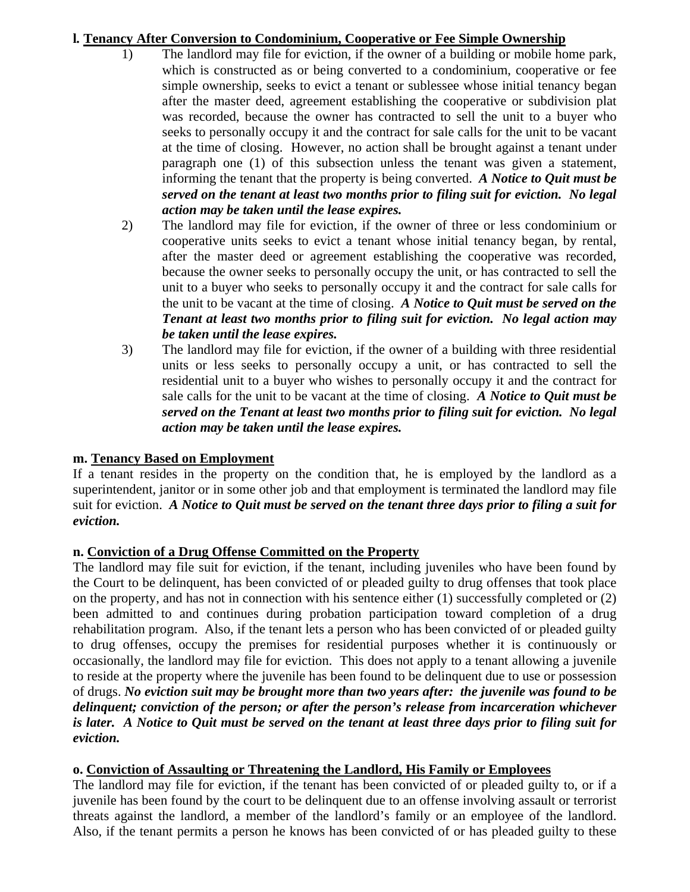# **l***.* **Tenancy After Conversion to Condominium, Cooperative or Fee Simple Ownership**

- 1) The landlord may file for eviction, if the owner of a building or mobile home park, which is constructed as or being converted to a condominium, cooperative or fee simple ownership, seeks to evict a tenant or sublessee whose initial tenancy began after the master deed, agreement establishing the cooperative or subdivision plat was recorded, because the owner has contracted to sell the unit to a buyer who seeks to personally occupy it and the contract for sale calls for the unit to be vacant at the time of closing. However, no action shall be brought against a tenant under paragraph one (1) of this subsection unless the tenant was given a statement, informing the tenant that the property is being converted. *A Notice to Quit must be served on the tenant at least two months prior to filing suit for eviction. No legal action may be taken until the lease expires.*
- 2) The landlord may file for eviction, if the owner of three or less condominium or cooperative units seeks to evict a tenant whose initial tenancy began, by rental, after the master deed or agreement establishing the cooperative was recorded, because the owner seeks to personally occupy the unit, or has contracted to sell the unit to a buyer who seeks to personally occupy it and the contract for sale calls for the unit to be vacant at the time of closing. *A Notice to Quit must be served on the Tenant at least two months prior to filing suit for eviction. No legal action may be taken until the lease expires.*
- 3) The landlord may file for eviction, if the owner of a building with three residential units or less seeks to personally occupy a unit, or has contracted to sell the residential unit to a buyer who wishes to personally occupy it and the contract for sale calls for the unit to be vacant at the time of closing. *A Notice to Quit must be served on the Tenant at least two months prior to filing suit for eviction. No legal action may be taken until the lease expires.*

# **m. Tenancy Based on Employment**

If a tenant resides in the property on the condition that, he is employed by the landlord as a superintendent, janitor or in some other job and that employment is terminated the landlord may file suit for eviction. *A Notice to Quit must be served on the tenant three days prior to filing a suit for eviction.* 

# **n. Conviction of a Drug Offense Committed on the Property**

The landlord may file suit for eviction, if the tenant, including juveniles who have been found by the Court to be delinquent, has been convicted of or pleaded guilty to drug offenses that took place on the property, and has not in connection with his sentence either (1) successfully completed or (2) been admitted to and continues during probation participation toward completion of a drug rehabilitation program. Also, if the tenant lets a person who has been convicted of or pleaded guilty to drug offenses, occupy the premises for residential purposes whether it is continuously or occasionally, the landlord may file for eviction. This does not apply to a tenant allowing a juvenile to reside at the property where the juvenile has been found to be delinquent due to use or possession of drugs. *No eviction suit may be brought more than two years after: the juvenile was found to be delinquent; conviction of the person; or after the person's release from incarceration whichever is later. A Notice to Quit must be served on the tenant at least three days prior to filing suit for eviction.*

# **o. Conviction of Assaulting or Threatening the Landlord, His Family or Employees**

The landlord may file for eviction, if the tenant has been convicted of or pleaded guilty to, or if a juvenile has been found by the court to be delinquent due to an offense involving assault or terrorist threats against the landlord, a member of the landlord's family or an employee of the landlord. Also, if the tenant permits a person he knows has been convicted of or has pleaded guilty to these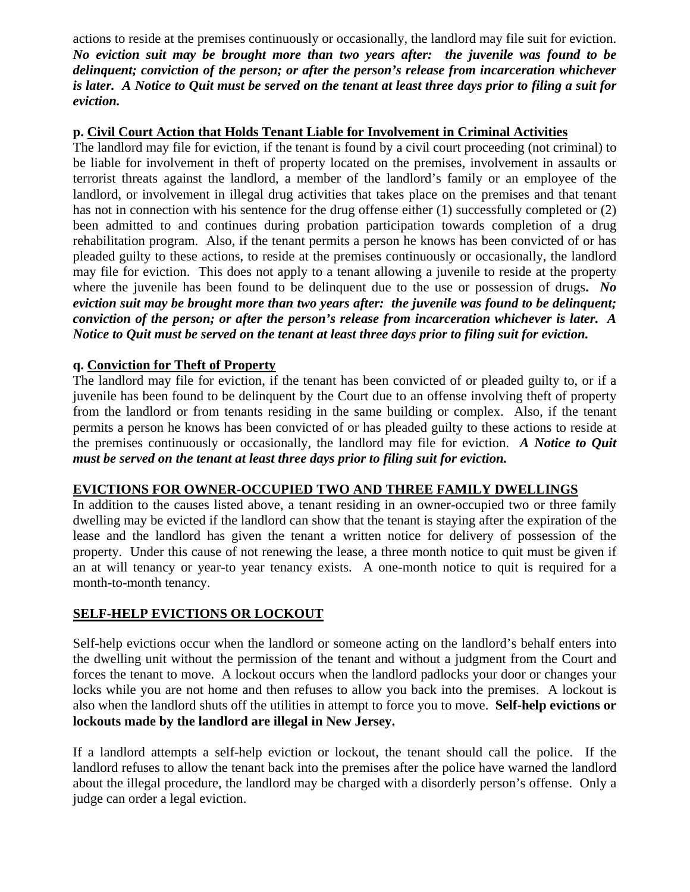actions to reside at the premises continuously or occasionally, the landlord may file suit for eviction. *No eviction suit may be brought more than two years after: the juvenile was found to be delinquent; conviction of the person; or after the person's release from incarceration whichever is later. A Notice to Quit must be served on the tenant at least three days prior to filing a suit for eviction.* 

## **p. Civil Court Action that Holds Tenant Liable for Involvement in Criminal Activities**

The landlord may file for eviction, if the tenant is found by a civil court proceeding (not criminal) to be liable for involvement in theft of property located on the premises, involvement in assaults or terrorist threats against the landlord, a member of the landlord's family or an employee of the landlord, or involvement in illegal drug activities that takes place on the premises and that tenant has not in connection with his sentence for the drug offense either (1) successfully completed or (2) been admitted to and continues during probation participation towards completion of a drug rehabilitation program. Also, if the tenant permits a person he knows has been convicted of or has pleaded guilty to these actions, to reside at the premises continuously or occasionally, the landlord may file for eviction.This does not apply to a tenant allowing a juvenile to reside at the property where the juvenile has been found to be delinquent due to the use or possession of drugs**.** *No eviction suit may be brought more than two years after: the juvenile was found to be delinquent; conviction of the person; or after the person's release from incarceration whichever is later.**A Notice to Quit must be served on the tenant at least three days prior to filing suit for eviction.*

# **q. Conviction for Theft of Property**

The landlord may file for eviction, if the tenant has been convicted of or pleaded guilty to, or if a juvenile has been found to be delinquent by the Court due to an offense involving theft of property from the landlord or from tenants residing in the same building or complex. Also, if the tenant permits a person he knows has been convicted of or has pleaded guilty to these actions to reside at the premises continuously or occasionally, the landlord may file for eviction. *A Notice to Quit must be served on the tenant at least three days prior to filing suit for eviction.* 

# **EVICTIONS FOR OWNER-OCCUPIED TWO AND THREE FAMILY DWELLINGS**

In addition to the causes listed above, a tenant residing in an owner-occupied two or three family dwelling may be evicted if the landlord can show that the tenant is staying after the expiration of the lease and the landlord has given the tenant a written notice for delivery of possession of the property. Under this cause of not renewing the lease, a three month notice to quit must be given if an at will tenancy or year-to year tenancy exists. A one-month notice to quit is required for a month-to-month tenancy.

# **SELF-HELP EVICTIONS OR LOCKOUT**

Self-help evictions occur when the landlord or someone acting on the landlord's behalf enters into the dwelling unit without the permission of the tenant and without a judgment from the Court and forces the tenant to move. A lockout occurs when the landlord padlocks your door or changes your locks while you are not home and then refuses to allow you back into the premises. A lockout is also when the landlord shuts off the utilities in attempt to force you to move. **Self-help evictions or lockouts made by the landlord are illegal in New Jersey.** 

If a landlord attempts a self-help eviction or lockout, the tenant should call the police. If the landlord refuses to allow the tenant back into the premises after the police have warned the landlord about the illegal procedure, the landlord may be charged with a disorderly person's offense. Only a judge can order a legal eviction.